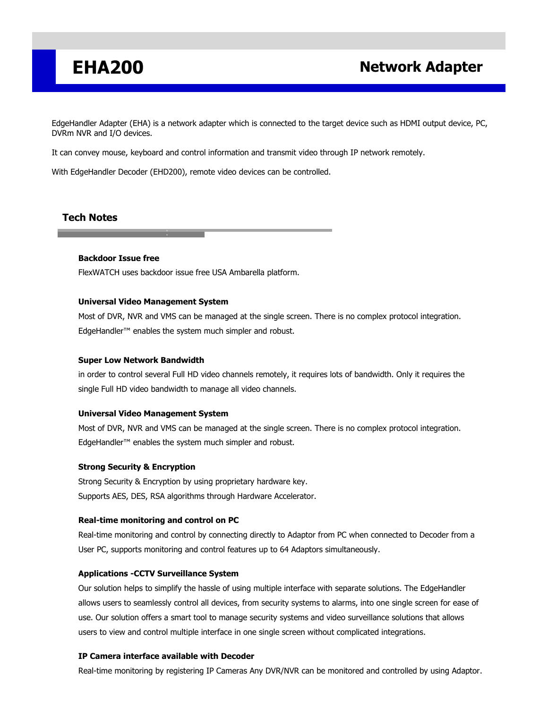## **EHA200 Network Adapter**

EdgeHandler Adapter (EHA) is a network adapter which is connected to the target device such as HDMI output device, PC, DVRm NVR and I/O devices.

It can convey mouse, keyboard and control information and transmit video through IP network remotely.

With EdgeHandler Decoder (EHD200), remote video devices can be controlled.

## **Tech Notes**

### **Backdoor Issue free**

FlexWATCH uses backdoor issue free USA Ambarella platform.

#### **Universal Video Management System**

Most of DVR, NVR and VMS can be managed at the single screen. There is no complex protocol integration. EdgeHandler™ enables the system much simpler and robust.

#### **Super Low Network Bandwidth**

in order to control several Full HD video channels remotely, it requires lots of bandwidth. Only it requires the single Full HD video bandwidth to manage all video channels.

#### **Universal Video Management System**

Most of DVR, NVR and VMS can be managed at the single screen. There is no complex protocol integration. EdgeHandler™ enables the system much simpler and robust.

#### **Strong Security & Encryption**

Strong Security & Encryption by using proprietary hardware key. Supports AES, DES, RSA algorithms through Hardware Accelerator.

#### **Real-time monitoring and control on PC**

Real-time monitoring and control by connecting directly to Adaptor from PC when connected to Decoder from a User PC, supports monitoring and control features up to 64 Adaptors simultaneously.

#### **Applications -CCTV Surveillance System**

Our solution helps to simplify the hassle of using multiple interface with separate solutions. The EdgeHandler allows users to seamlessly control all devices, from security systems to alarms, into one single screen for ease of use. Our solution offers a smart tool to manage security systems and video surveillance solutions that allows users to view and control multiple interface in one single screen without complicated integrations.

#### **IP Camera interface available with Decoder**

Real-time monitoring by registering IP Cameras Any DVR/NVR can be monitored and controlled by using Adaptor.